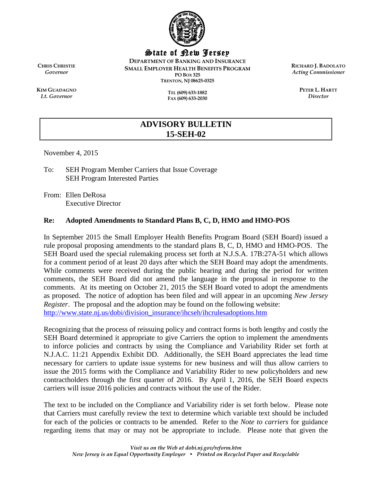

State of New Jersey

**DEPARTMENT OF BANKING AND INSURANCE SMALL EMPLOYER HEALTH BENEFITS PROGRAM PO BOX 325 TRENTON, NJ 08625-0325**

> **TEL (609) 633-1882 FAX (609) 633-2030**

**RICHARD J. BADOLATO** *Acting Commissioner*

> **PETER L. HARTT** *Director*

**CHRIS CHRISTIE** *Governor*

**KIM GUADAGNO** *Lt. Governor*

> **ADVISORY BULLETIN 15-SEH-02**

November 4, 2015

To: SEH Program Member Carriers that Issue Coverage SEH Program Interested Parties

From: Ellen DeRosa Executive Director

#### **Re: Adopted Amendments to Standard Plans B, C, D, HMO and HMO-POS**

In September 2015 the Small Employer Health Benefits Program Board (SEH Board) issued a rule proposal proposing amendments to the standard plans B, C, D, HMO and HMO-POS. The SEH Board used the special rulemaking process set forth at N.J.S.A. 17B:27A-51 which allows for a comment period of at least 20 days after which the SEH Board may adopt the amendments. While comments were received during the public hearing and during the period for written comments, the SEH Board did not amend the language in the proposal in response to the comments. At its meeting on October 21, 2015 the SEH Board voted to adopt the amendments as proposed. The notice of adoption has been filed and will appear in an upcoming *New Jersey Register*. The proposal and the adoption may be found on the following website: [http://www.state.nj.us/dobi/division\\_insurance/ihcseh/ihcrulesadoptions.htm](http://www.state.nj.us/dobi/division_insurance/ihcseh/ihcrulesadoptions.htm)

Recognizing that the process of reissuing policy and contract forms is both lengthy and costly the SEH Board determined it appropriate to give Carriers the option to implement the amendments to inforce policies and contracts by using the Compliance and Variability Rider set forth at N.J.A.C. 11:21 Appendix Exhibit DD. Additionally, the SEH Board appreciates the lead time necessary for carriers to update issue systems for new business and will thus allow carriers to issue the 2015 forms with the Compliance and Variability Rider to new policyholders and new contractholders through the first quarter of 2016. By April 1, 2016, the SEH Board expects carriers will issue 2016 policies and contracts without the use of the Rider.

The text to be included on the Compliance and Variability rider is set forth below. Please note that Carriers must carefully review the text to determine which variable text should be included for each of the policies or contracts to be amended. Refer to the *Note to carriers* for guidance regarding items that may or may not be appropriate to include. Please note that given the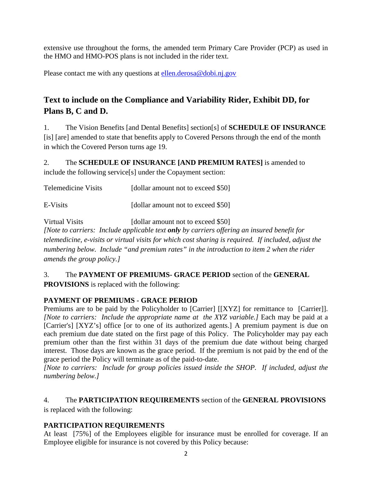extensive use throughout the forms, the amended term Primary Care Provider (PCP) as used in the HMO and HMO-POS plans is not included in the rider text.

Please contact me with any questions at [ellen.derosa@dobi.nj.gov](mailto:ellen.derosa@dobi.nj.gov)

# **Text to include on the Compliance and Variability Rider, Exhibit DD, for Plans B, C and D.**

1. The Vision Benefits [and Dental Benefits] section[s] of **SCHEDULE OF INSURANCE** [is] [are] amended to state that benefits apply to Covered Persons through the end of the month in which the Covered Person turns age 19.

2. The **SCHEDULE OF INSURANCE [AND PREMIUM RATES]** is amended to include the following service[s] under the Copayment section:

Telemedicine Visits [dollar amount not to exceed \$50]

E-Visits [dollar amount not to exceed \$50]

Virtual Visits [dollar amount not to exceed \$50]

*[Note to carriers: Include applicable text only by carriers offering an insured benefit for telemedicine, e-visits or virtual visits for which cost sharing is required. If included, adjust the numbering below. Include "and premium rates" in the introduction to item 2 when the rider amends the group policy.]* 

# 3. The **PAYMENT OF PREMIUMS- GRACE PERIOD** section of the **GENERAL PROVISIONS** is replaced with the following:

# **PAYMENT OF PREMIUMS - GRACE PERIOD**

Premiums are to be paid by the Policyholder to [Carrier] [[XYZ] for remittance to [Carrier]]. *[Note to carriers: Include the appropriate name at the XYZ variable.]* Each may be paid at a [Carrier's] [XYZ's] office [or to one of its authorized agents.] A premium payment is due on each premium due date stated on the first page of this Policy. The Policyholder may pay each premium other than the first within 31 days of the premium due date without being charged interest. Those days are known as the grace period. If the premium is not paid by the end of the grace period the Policy will terminate as of the paid-to-date.

*[Note to carriers: Include for group policies issued inside the SHOP. If included, adjust the numbering below.]*

# 4. The **PARTICIPATION REQUIREMENTS** section of the **GENERAL PROVISIONS**

is replaced with the following:

# **PARTICIPATION REQUIREMENTS**

At least [75%] of the Employees eligible for insurance must be enrolled for coverage. If an Employee eligible for insurance is not covered by this Policy because: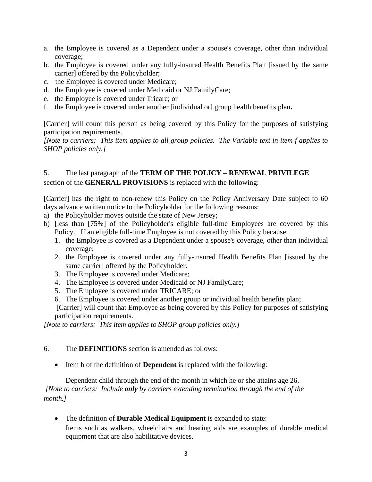- a. the Employee is covered as a Dependent under a spouse's coverage, other than individual coverage;
- b. the Employee is covered under any fully-insured Health Benefits Plan [issued by the same carrier] offered by the Policyholder;
- c. the Employee is covered under Medicare;
- d. the Employee is covered under Medicaid or NJ FamilyCare;
- e. the Employee is covered under Tricare; or
- f. the Employee is covered under another [individual or] group health benefits plan**.**

[Carrier] will count this person as being covered by this Policy for the purposes of satisfying participation requirements.

*[Note to carriers: This item applies to all group policies. The Variable text in item f applies to SHOP policies only.]* 

## 5. The last paragraph of the **TERM OF THE POLICY – RENEWAL PRIVILEGE** section of the **GENERAL PROVISIONS** is replaced with the following:

[Carrier] has the right to non-renew this Policy on the Policy Anniversary Date subject to 60 days advance written notice to the Policyholder for the following reasons:

- a) the Policyholder moves outside the state of New Jersey;
- b) [less than [75%] of the Policyholder's eligible full-time Employees are covered by this Policy. If an eligible full-time Employee is not covered by this Policy because:
	- 1. the Employee is covered as a Dependent under a spouse's coverage, other than individual coverage;
	- 2. the Employee is covered under any fully-insured Health Benefits Plan [issued by the same carrier] offered by the Policyholder.
	- 3. The Employee is covered under Medicare;
	- 4. The Employee is covered under Medicaid or NJ FamilyCare;
	- 5. The Employee is covered under TRICARE; or
	- 6. The Employee is covered under another group or individual health benefits plan;

[Carrier] will count that Employee as being covered by this Policy for purposes of satisfying participation requirements.

*[Note to carriers: This item applies to SHOP group policies only.]* 

#### 6. The **DEFINITIONS** section is amended as follows:

• Item b of the definition of **Dependent** is replaced with the following:

Dependent child through the end of the month in which he or she attains age 26. *[Note to carriers: Include only by carriers extending termination through the end of the month.]* 

• The definition of **Durable Medical Equipment** is expanded to state: Items such as walkers, wheelchairs and hearing aids are examples of durable medical equipment that are also habilitative devices.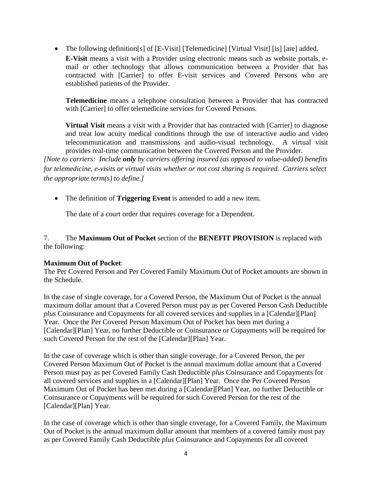• The following definition[s] of [E-Visit] [Telemedicine] [Virtual Visit] [is] [are] added. **E-Visit** means a visit with a Provider using electronic means such as website portals, email or other technology that allows communication between a Provider that has contracted with [Carrier] to offer E-visit services and Covered Persons who are established patients of the Provider.

**Telemedicine** means a telephone consultation between a Provider that has contracted with [Carrier] to offer telemedicine services for Covered Persons.

**Virtual Visit** means a visit with a Provider that has contracted with [Carrier] to diagnose and treat low acuity medical conditions through the use of interactive audio and video telecommunication and transmissions and audio-visual technology. A virtual visit provides real-time communication between the Covered Person and the Provider.

*[Note to carriers: Include only by carriers offering insured (as opposed to value-added) benefits for telemedicine, e-visits or virtual visits whether or not cost sharing is required. Carriers select the appropriate term(s) to define.]* 

• The definition of **Triggering Event** is amended to add a new item.

The date of a court order that requires coverage for a Dependent.

7. The **Maximum Out of Pocket** section of the **BENEFIT PROVISION** is replaced with the following:

#### **Maximum Out of Pocket**:

The Per Covered Person and Per Covered Family Maximum Out of Pocket amounts are shown in the Schedule.

In the case of single coverage, for a Covered Person, the Maximum Out of Pocket is the annual maximum dollar amount that a Covered Person must pay as per Covered Person Cash Deductible *plus* Coinsurance and Copayments for all covered services and supplies in a [Calendar][Plan] Year. Once the Per Covered Person Maximum Out of Pocket has been met during a [Calendar][Plan] Year, no further Deductible or Coinsurance or Copayments will be required for such Covered Person for the rest of the [Calendar][Plan] Year.

In the case of coverage which is other than single coverage, for a Covered Person, the per Covered Person Maximum Out of Pocket is the annual maximum dollar amount that a Covered Person must pay as per Covered Family Cash Deductible *plus* Coinsurance and Copayments for all covered services and supplies in a [Calendar][Plan] Year. Once the Per Covered Person Maximum Out of Pocket has been met during a [Calendar][Plan] Year, no further Deductible or Coinsurance or Copayments will be required for such Covered Person for the rest of the [Calendar][Plan] Year.

In the case of coverage which is other than single coverage, for a Covered Family, the Maximum Out of Pocket is the annual maximum dollar amount that members of a covered family must pay as per Covered Family Cash Deductible *plus* Coinsurance and Copayments for all covered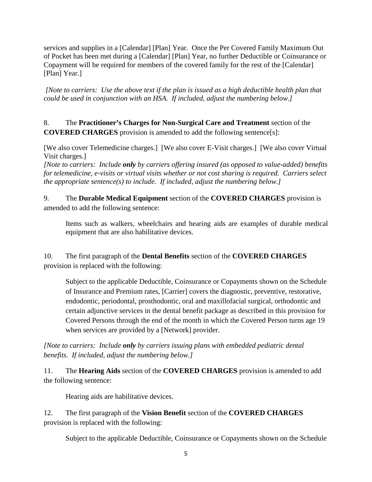services and supplies in a [Calendar] [Plan] Year. Once the Per Covered Family Maximum Out of Pocket has been met during a [Calendar] [Plan] Year, no further Deductible or Coinsurance or Copayment will be required for members of the covered family for the rest of the [Calendar] [Plan] Year.]

*[Note to carriers: Use the above text if the plan is issued as a high deductible health plan that could be used in conjunction with an HSA. If included, adjust the numbering below.]*

8. The **Practitioner's Charges for Non-Surgical Care and Treatment** section of the **COVERED CHARGES** provision is amended to add the following sentence[s]:

[We also cover Telemedicine charges.] [We also cover E-Visit charges.] [We also cover Virtual Visit charges.]

*[Note to carriers: Include only by carriers offering insured (as opposed to value-added) benefits for telemedicine, e-visits or virtual visits whether or not cost sharing is required. Carriers select the appropriate sentence(s) to include. If included, adjust the numbering below.]* 

9. The **Durable Medical Equipment** section of the **COVERED CHARGES** provision is amended to add the following sentence:

Items such as walkers, wheelchairs and hearing aids are examples of durable medical equipment that are also habilitative devices.

10. The first paragraph of the **Dental Benefits** section of the **COVERED CHARGES** provision is replaced with the following:

Subject to the applicable Deductible, Coinsurance or Copayments shown on the Schedule of Insurance and Premium rates, [Carrier] covers the diagnostic, preventive, restorative, endodontic, periodontal, prosthodontic, oral and maxillofacial surgical, orthodontic and certain adjunctive services in the dental benefit package as described in this provision for Covered Persons through the end of the month in which the Covered Person turns age 19 when services are provided by a [Network] provider.

*[Note to carriers: Include only by carriers issuing plans with embedded pediatric dental benefits. If included, adjust the numbering below.]*

11. The **Hearing Aids** section of the **COVERED CHARGES** provision is amended to add the following sentence:

Hearing aids are habilitative devices.

12. The first paragraph of the **Vision Benefit** section of the **COVERED CHARGES** provision is replaced with the following:

Subject to the applicable Deductible, Coinsurance or Copayments shown on the Schedule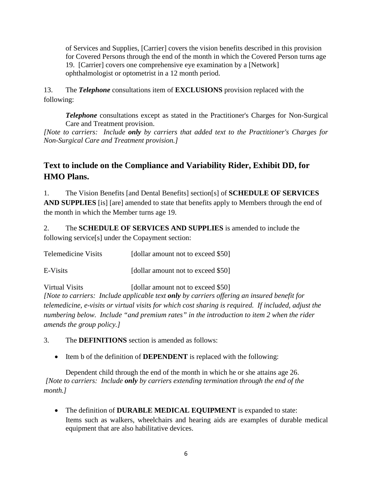of Services and Supplies, [Carrier] covers the vision benefits described in this provision for Covered Persons through the end of the month in which the Covered Person turns age 19. [Carrier] covers one comprehensive eye examination by a [Network] ophthalmologist or optometrist in a 12 month period.

13. The *Telephone* consultations item of **EXCLUSIONS** provision replaced with the following:

*Telephone* consultations except as stated in the Practitioner's Charges for Non-Surgical Care and Treatment provision.

*[Note to carriers: Include only by carriers that added text to the Practitioner's Charges for Non-Surgical Care and Treatment provision.]*

# **Text to include on the Compliance and Variability Rider, Exhibit DD, for HMO Plans.**

1. The Vision Benefits [and Dental Benefits] section[s] of **SCHEDULE OF SERVICES AND SUPPLIES** [is] [are] amended to state that benefits apply to Members through the end of the month in which the Member turns age 19.

2. The **SCHEDULE OF SERVICES AND SUPPLIES** is amended to include the following service[s] under the Copayment section:

Telemedicine Visits [dollar amount not to exceed \$50]

E-Visits [dollar amount not to exceed \$50]

Virtual Visits [dollar amount not to exceed \$50] *[Note to carriers: Include applicable text only by carriers offering an insured benefit for telemedicine, e-visits or virtual visits for which cost sharing is required. If included, adjust the numbering below. Include "and premium rates" in the introduction to item 2 when the rider amends the group policy.]* 

3. The **DEFINITIONS** section is amended as follows:

• Item b of the definition of **DEPENDENT** is replaced with the following:

Dependent child through the end of the month in which he or she attains age 26. *[Note to carriers: Include only by carriers extending termination through the end of the month.]* 

• The definition of **DURABLE MEDICAL EQUIPMENT** is expanded to state: Items such as walkers, wheelchairs and hearing aids are examples of durable medical equipment that are also habilitative devices.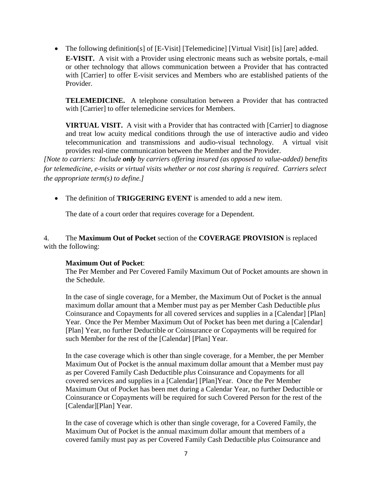• The following definition[s] of [E-Visit] [Telemedicine] [Virtual Visit] [is] [are] added. **E-VISIT.** A visit with a Provider using electronic means such as website portals, e-mail or other technology that allows communication between a Provider that has contracted with [Carrier] to offer E-visit services and Members who are established patients of the Provider.

**TELEMEDICINE.** A telephone consultation between a Provider that has contracted with [Carrier] to offer telemedicine services for Members.

**VIRTUAL VISIT.** A visit with a Provider that has contracted with [Carrier] to diagnose and treat low acuity medical conditions through the use of interactive audio and video telecommunication and transmissions and audio-visual technology. A virtual visit provides real-time communication between the Member and the Provider.

*[Note to carriers: Include only by carriers offering insured (as opposed to value-added) benefits for telemedicine, e-visits or virtual visits whether or not cost sharing is required. Carriers select the appropriate term(s) to define.]* 

• The definition of **TRIGGERING EVENT** is amended to add a new item.

The date of a court order that requires coverage for a Dependent.

4. The **Maximum Out of Pocket** section of the **COVERAGE PROVISION** is replaced with the following:

#### **Maximum Out of Pocket**:

The Per Member and Per Covered Family Maximum Out of Pocket amounts are shown in the Schedule.

In the case of single coverage, for a Member, the Maximum Out of Pocket is the annual maximum dollar amount that a Member must pay as per Member Cash Deductible *plus* Coinsurance and Copayments for all covered services and supplies in a [Calendar] [Plan] Year. Once the Per Member Maximum Out of Pocket has been met during a [Calendar] [Plan] Year, no further Deductible or Coinsurance or Copayments will be required for such Member for the rest of the [Calendar] [Plan] Year.

In the case coverage which is other than single coverage, for a Member, the per Member Maximum Out of Pocket is the annual maximum dollar amount that a Member must pay as per Covered Family Cash Deductible *plus* Coinsurance and Copayments for all covered services and supplies in a [Calendar] [Plan]Year. Once the Per Member Maximum Out of Pocket has been met during a Calendar Year, no further Deductible or Coinsurance or Copayments will be required for such Covered Person for the rest of the [Calendar][Plan] Year.

In the case of coverage which is other than single coverage, for a Covered Family, the Maximum Out of Pocket is the annual maximum dollar amount that members of a covered family must pay as per Covered Family Cash Deductible *plus* Coinsurance and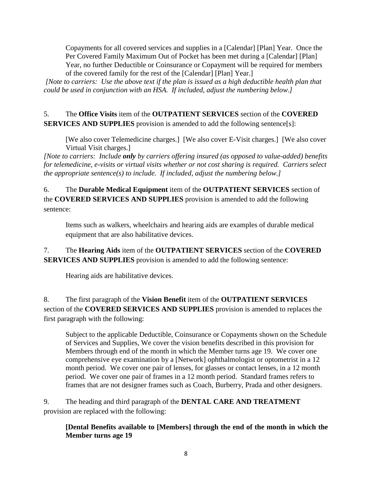Copayments for all covered services and supplies in a [Calendar] [Plan] Year. Once the Per Covered Family Maximum Out of Pocket has been met during a [Calendar] [Plan] Year, no further Deductible or Coinsurance or Copayment will be required for members of the covered family for the rest of the [Calendar] [Plan] Year.]

*[Note to carriers: Use the above text if the plan is issued as a high deductible health plan that could be used in conjunction with an HSA. If included, adjust the numbering below.]*

5. The **Office Visits** item of the **OUTPATIENT SERVICES** section of the **COVERED SERVICES AND SUPPLIES** provision is amended to add the following sentence[s]:

[We also cover Telemedicine charges.] [We also cover E-Visit charges.] [We also cover Virtual Visit charges.]

*[Note to carriers: Include only by carriers offering insured (as opposed to value-added) benefits for telemedicine, e-visits or virtual visits whether or not cost sharing is required. Carriers select the appropriate sentence(s) to include. If included, adjust the numbering below.]* 

6. The **Durable Medical Equipment** item of the **OUTPATIENT SERVICES** section of the **COVERED SERVICES AND SUPPLIES** provision is amended to add the following sentence:

Items such as walkers, wheelchairs and hearing aids are examples of durable medical equipment that are also habilitative devices.

7. The **Hearing Aids** item of the **OUTPATIENT SERVICES** section of the **COVERED SERVICES AND SUPPLIES** provision is amended to add the following sentence:

Hearing aids are habilitative devices.

8. The first paragraph of the **Vision Benefit** item of the **OUTPATIENT SERVICES** section of the **COVERED SERVICES AND SUPPLIES** provision is amended to replaces the first paragraph with the following:

Subject to the applicable Deductible, Coinsurance or Copayments shown on the Schedule of Services and Supplies, We cover the vision benefits described in this provision for Members through end of the month in which the Member turns age 19. We cover one comprehensive eye examination by a [Network] ophthalmologist or optometrist in a 12 month period. We cover one pair of lenses, for glasses or contact lenses, in a 12 month period. We cover one pair of frames in a 12 month period. Standard frames refers to frames that are not designer frames such as Coach, Burberry, Prada and other designers.

9. The heading and third paragraph of the **DENTAL CARE AND TREATMENT** provision are replaced with the following:

**[Dental Benefits available to [Members] through the end of the month in which the Member turns age 19**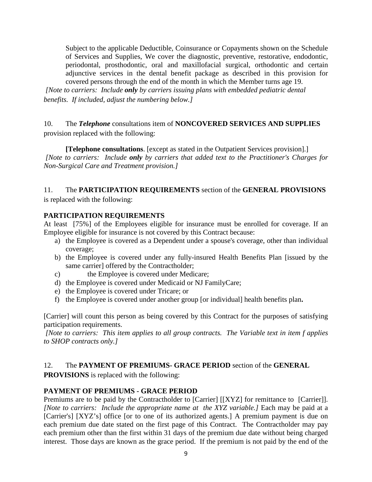Subject to the applicable Deductible, Coinsurance or Copayments shown on the Schedule of Services and Supplies, We cover the diagnostic, preventive, restorative, endodontic, periodontal, prosthodontic, oral and maxillofacial surgical, orthodontic and certain adjunctive services in the dental benefit package as described in this provision for covered persons through the end of the month in which the Member turns age 19.

*[Note to carriers: Include only by carriers issuing plans with embedded pediatric dental benefits. If included, adjust the numbering below.]*

10. The *Telephone* consultations item of **NONCOVERED SERVICES AND SUPPLIES** provision replaced with the following:

**[Telephone consultations**. [except as stated in the Outpatient Services provision].] *[Note to carriers: Include only by carriers that added text to the Practitioner's Charges for Non-Surgical Care and Treatment provision.]*

# 11. The **PARTICIPATION REQUIREMENTS** section of the **GENERAL PROVISIONS** is replaced with the following:

#### **PARTICIPATION REQUIREMENTS**

At least [75%] of the Employees eligible for insurance must be enrolled for coverage. If an Employee eligible for insurance is not covered by this Contract because:

- a) the Employee is covered as a Dependent under a spouse's coverage, other than individual coverage;
- b) the Employee is covered under any fully-insured Health Benefits Plan [issued by the same carrier] offered by the Contractholder;
- c) the Employee is covered under Medicare;
- d) the Employee is covered under Medicaid or NJ FamilyCare;
- e) the Employee is covered under Tricare; or
- f) the Employee is covered under another group [or individual] health benefits plan**.**

[Carrier] will count this person as being covered by this Contract for the purposes of satisfying participation requirements.

*[Note to carriers: This item applies to all group contracts. The Variable text in item f applies to SHOP contracts only.]* 

# 12. The **PAYMENT OF PREMIUMS- GRACE PERIOD** section of the **GENERAL**

**PROVISIONS** is replaced with the following:

# **PAYMENT OF PREMIUMS - GRACE PERIOD**

Premiums are to be paid by the Contractholder to [Carrier] [[XYZ] for remittance to [Carrier]]. *[Note to carriers: Include the appropriate name at the XYZ variable.]* Each may be paid at a [Carrier's] [XYZ's] office [or to one of its authorized agents.] A premium payment is due on each premium due date stated on the first page of this Contract. The Contractholder may pay each premium other than the first within 31 days of the premium due date without being charged interest. Those days are known as the grace period. If the premium is not paid by the end of the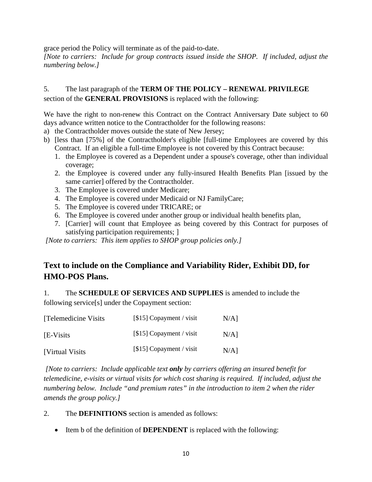grace period the Policy will terminate as of the paid-to-date.

*[Note to carriers: Include for group contracts issued inside the SHOP. If included, adjust the numbering below.]*

# 5. The last paragraph of the **TERM OF THE POLICY – RENEWAL PRIVILEGE** section of the **GENERAL PROVISIONS** is replaced with the following:

We have the right to non-renew this Contract on the Contract Anniversary Date subject to 60 days advance written notice to the Contractholder for the following reasons:

- a) the Contractholder moves outside the state of New Jersey;
- b) [less than [75%] of the Contractholder's eligible [full-time Employees are covered by this Contract. If an eligible a full-time Employee is not covered by this Contract because:
	- 1. the Employee is covered as a Dependent under a spouse's coverage, other than individual coverage;
	- 2. the Employee is covered under any fully-insured Health Benefits Plan [issued by the same carrier] offered by the Contractholder.
	- 3. The Employee is covered under Medicare;
	- 4. The Employee is covered under Medicaid or NJ FamilyCare;
	- 5. The Employee is covered under TRICARE; or
	- 6. The Employee is covered under another group or individual health benefits plan,
	- 7. [Carrier] will count that Employee as being covered by this Contract for purposes of satisfying participation requirements; 1

*[Note to carriers: This item applies to SHOP group policies only.]* 

# **Text to include on the Compliance and Variability Rider, Exhibit DD, for HMO-POS Plans.**

1. The **SCHEDULE OF SERVICES AND SUPPLIES** is amended to include the following service[s] under the Copayment section:

| [Telemedicine Visits] | $[$15]$ Copayment / visit | $N/A$ ] |
|-----------------------|---------------------------|---------|
| [E-Visits]            | $[$15]$ Copayment / visit | $N/A$ ] |
| [Virtual Visits]      | $[$15]$ Copayment / visit | $N/A$ ] |

*[Note to carriers: Include applicable text only by carriers offering an insured benefit for telemedicine, e-visits or virtual visits for which cost sharing is required. If included, adjust the numbering below. Include "and premium rates" in the introduction to item 2 when the rider amends the group policy.]* 

- 2. The **DEFINITIONS** section is amended as follows:
	- Item b of the definition of **DEPENDENT** is replaced with the following: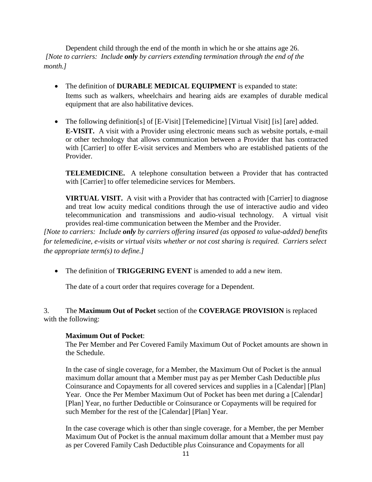Dependent child through the end of the month in which he or she attains age 26. *[Note to carriers: Include only by carriers extending termination through the end of the month.]* 

- The definition of **DURABLE MEDICAL EQUIPMENT** is expanded to state: Items such as walkers, wheelchairs and hearing aids are examples of durable medical equipment that are also habilitative devices.
- The following definition[s] of [E-Visit] [Telemedicine] [Virtual Visit] [is] [are] added. **E-VISIT.** A visit with a Provider using electronic means such as website portals, e-mail or other technology that allows communication between a Provider that has contracted with [Carrier] to offer E-visit services and Members who are established patients of the Provider.

**TELEMEDICINE.** A telephone consultation between a Provider that has contracted with [Carrier] to offer telemedicine services for Members.

**VIRTUAL VISIT.** A visit with a Provider that has contracted with [Carrier] to diagnose and treat low acuity medical conditions through the use of interactive audio and video telecommunication and transmissions and audio-visual technology. A virtual visit provides real-time communication between the Member and the Provider.

*[Note to carriers: Include only by carriers offering insured (as opposed to value-added) benefits for telemedicine, e-visits or virtual visits whether or not cost sharing is required. Carriers select the appropriate term(s) to define.]* 

• The definition of **TRIGGERING EVENT** is amended to add a new item.

The date of a court order that requires coverage for a Dependent.

#### 3. The **Maximum Out of Pocket** section of the **COVERAGE PROVISION** is replaced with the following:

#### **Maximum Out of Pocket**:

The Per Member and Per Covered Family Maximum Out of Pocket amounts are shown in the Schedule.

In the case of single coverage, for a Member, the Maximum Out of Pocket is the annual maximum dollar amount that a Member must pay as per Member Cash Deductible *plus* Coinsurance and Copayments for all covered services and supplies in a [Calendar] [Plan] Year. Once the Per Member Maximum Out of Pocket has been met during a [Calendar] [Plan] Year, no further Deductible or Coinsurance or Copayments will be required for such Member for the rest of the [Calendar] [Plan] Year.

In the case coverage which is other than single coverage, for a Member, the per Member Maximum Out of Pocket is the annual maximum dollar amount that a Member must pay as per Covered Family Cash Deductible *plus* Coinsurance and Copayments for all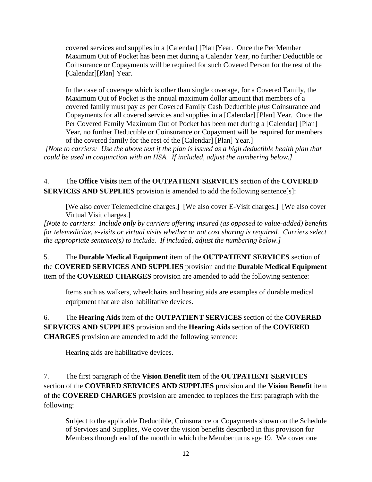covered services and supplies in a [Calendar] [Plan]Year. Once the Per Member Maximum Out of Pocket has been met during a Calendar Year, no further Deductible or Coinsurance or Copayments will be required for such Covered Person for the rest of the [Calendar][Plan] Year.

In the case of coverage which is other than single coverage, for a Covered Family, the Maximum Out of Pocket is the annual maximum dollar amount that members of a covered family must pay as per Covered Family Cash Deductible *plus* Coinsurance and Copayments for all covered services and supplies in a [Calendar] [Plan] Year. Once the Per Covered Family Maximum Out of Pocket has been met during a [Calendar] [Plan] Year, no further Deductible or Coinsurance or Copayment will be required for members of the covered family for the rest of the [Calendar] [Plan] Year.]

*[Note to carriers: Use the above text if the plan is issued as a high deductible health plan that could be used in conjunction with an HSA. If included, adjust the numbering below.]*

4. The **Office Visits** item of the **OUTPATIENT SERVICES** section of the **COVERED SERVICES AND SUPPLIES** provision is amended to add the following sentence[s]:

[We also cover Telemedicine charges.] [We also cover E-Visit charges.] [We also cover Virtual Visit charges.]

*[Note to carriers: Include only by carriers offering insured (as opposed to value-added) benefits for telemedicine, e-visits or virtual visits whether or not cost sharing is required. Carriers select the appropriate sentence(s) to include. If included, adjust the numbering below.]* 

5. The **Durable Medical Equipment** item of the **OUTPATIENT SERVICES** section of the **COVERED SERVICES AND SUPPLIES** provision and the **Durable Medical Equipment**  item of the **COVERED CHARGES** provision are amended to add the following sentence:

Items such as walkers, wheelchairs and hearing aids are examples of durable medical equipment that are also habilitative devices.

6. The **Hearing Aids** item of the **OUTPATIENT SERVICES** section of the **COVERED SERVICES AND SUPPLIES** provision and the **Hearing Aids** section of the **COVERED CHARGES** provision are amended to add the following sentence:

Hearing aids are habilitative devices.

7. The first paragraph of the **Vision Benefit** item of the **OUTPATIENT SERVICES** section of the **COVERED SERVICES AND SUPPLIES** provision and the **Vision Benefit** item of the **COVERED CHARGES** provision are amended to replaces the first paragraph with the following:

Subject to the applicable Deductible, Coinsurance or Copayments shown on the Schedule of Services and Supplies, We cover the vision benefits described in this provision for Members through end of the month in which the Member turns age 19. We cover one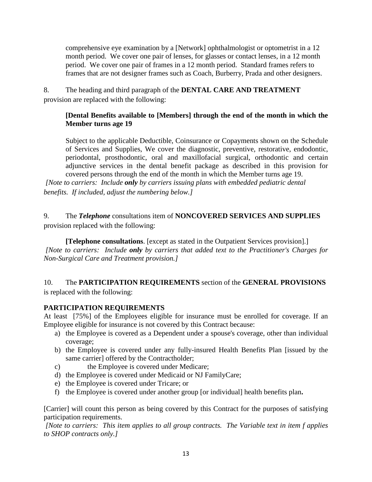comprehensive eye examination by a [Network] ophthalmologist or optometrist in a 12 month period. We cover one pair of lenses, for glasses or contact lenses, in a 12 month period. We cover one pair of frames in a 12 month period. Standard frames refers to frames that are not designer frames such as Coach, Burberry, Prada and other designers.

8. The heading and third paragraph of the **DENTAL CARE AND TREATMENT** provision are replaced with the following:

#### **[Dental Benefits available to [Members] through the end of the month in which the Member turns age 19**

Subject to the applicable Deductible, Coinsurance or Copayments shown on the Schedule of Services and Supplies, We cover the diagnostic, preventive, restorative, endodontic, periodontal, prosthodontic, oral and maxillofacial surgical, orthodontic and certain adjunctive services in the dental benefit package as described in this provision for covered persons through the end of the month in which the Member turns age 19.

*[Note to carriers: Include only by carriers issuing plans with embedded pediatric dental benefits. If included, adjust the numbering below.]*

9. The *Telephone* consultations item of **NONCOVERED SERVICES AND SUPPLIES** provision replaced with the following:

**[Telephone consultations**. [except as stated in the Outpatient Services provision].] *[Note to carriers: Include only by carriers that added text to the Practitioner's Charges for Non-Surgical Care and Treatment provision.]*

### 10. The **PARTICIPATION REQUIREMENTS** section of the **GENERAL PROVISIONS** is replaced with the following:

# **PARTICIPATION REQUIREMENTS**

At least [75%] of the Employees eligible for insurance must be enrolled for coverage. If an Employee eligible for insurance is not covered by this Contract because:

- a) the Employee is covered as a Dependent under a spouse's coverage, other than individual coverage;
- b) the Employee is covered under any fully-insured Health Benefits Plan [issued by the same carrier] offered by the Contractholder;
- c) the Employee is covered under Medicare;
- d) the Employee is covered under Medicaid or NJ FamilyCare;
- e) the Employee is covered under Tricare; or
- f) the Employee is covered under another group [or individual] health benefits plan**.**

[Carrier] will count this person as being covered by this Contract for the purposes of satisfying participation requirements.

*[Note to carriers: This item applies to all group contracts. The Variable text in item f applies to SHOP contracts only.]*